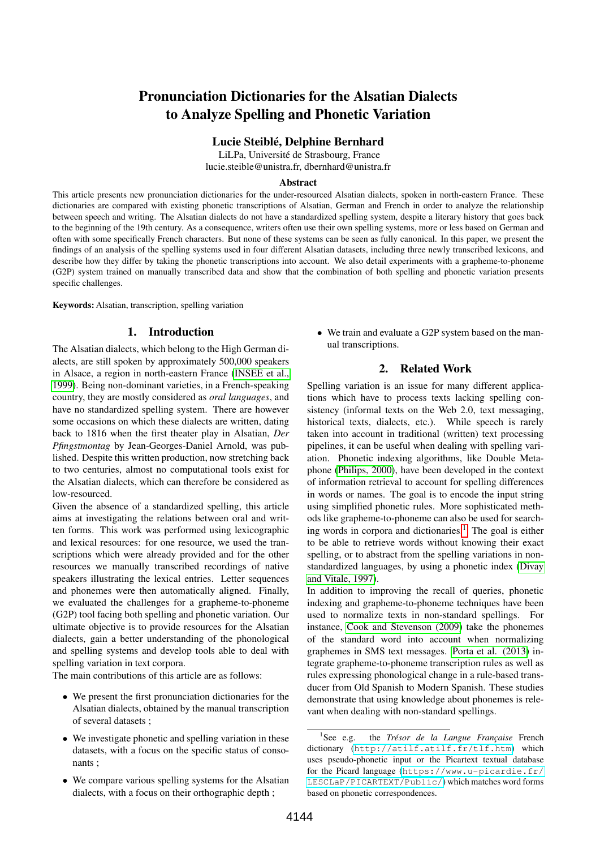# Pronunciation Dictionaries for the Alsatian Dialects to Analyze Spelling and Phonetic Variation

## Lucie Steiblé, Delphine Bernhard

LiLPa, Université de Strasbourg, France lucie.steible@unistra.fr, dbernhard@unistra.fr

#### Abstract

This article presents new pronunciation dictionaries for the under-resourced Alsatian dialects, spoken in north-eastern France. These dictionaries are compared with existing phonetic transcriptions of Alsatian, German and French in order to analyze the relationship between speech and writing. The Alsatian dialects do not have a standardized spelling system, despite a literary history that goes back to the beginning of the 19th century. As a consequence, writers often use their own spelling systems, more or less based on German and often with some specifically French characters. But none of these systems can be seen as fully canonical. In this paper, we present the findings of an analysis of the spelling systems used in four different Alsatian datasets, including three newly transcribed lexicons, and describe how they differ by taking the phonetic transcriptions into account. We also detail experiments with a grapheme-to-phoneme (G2P) system trained on manually transcribed data and show that the combination of both spelling and phonetic variation presents specific challenges.

Keywords: Alsatian, transcription, spelling variation

# 1. Introduction

The Alsatian dialects, which belong to the High German dialects, are still spoken by approximately 500,000 speakers in Alsace, a region in north-eastern France [\(INSEE et al.,](#page-5-0) [1999\)](#page-5-0). Being non-dominant varieties, in a French-speaking country, they are mostly considered as *oral languages*, and have no standardized spelling system. There are however some occasions on which these dialects are written, dating back to 1816 when the first theater play in Alsatian, *Der Pfingstmontag* by Jean-Georges-Daniel Arnold, was published. Despite this written production, now stretching back to two centuries, almost no computational tools exist for the Alsatian dialects, which can therefore be considered as low-resourced.

Given the absence of a standardized spelling, this article aims at investigating the relations between oral and written forms. This work was performed using lexicographic and lexical resources: for one resource, we used the transcriptions which were already provided and for the other resources we manually transcribed recordings of native speakers illustrating the lexical entries. Letter sequences and phonemes were then automatically aligned. Finally, we evaluated the challenges for a grapheme-to-phoneme (G2P) tool facing both spelling and phonetic variation. Our ultimate objective is to provide resources for the Alsatian dialects, gain a better understanding of the phonological and spelling systems and develop tools able to deal with spelling variation in text corpora.

The main contributions of this article are as follows:

- We present the first pronunciation dictionaries for the Alsatian dialects, obtained by the manual transcription of several datasets ;
- We investigate phonetic and spelling variation in these datasets, with a focus on the specific status of consonants ;
- We compare various spelling systems for the Alsatian dialects, with a focus on their orthographic depth ;

• We train and evaluate a G2P system based on the manual transcriptions.

# 2. Related Work

Spelling variation is an issue for many different applications which have to process texts lacking spelling consistency (informal texts on the Web 2.0, text messaging, historical texts, dialects, etc.). While speech is rarely taken into account in traditional (written) text processing pipelines, it can be useful when dealing with spelling variation. Phonetic indexing algorithms, like Double Metaphone [\(Philips, 2000\)](#page-5-1), have been developed in the context of information retrieval to account for spelling differences in words or names. The goal is to encode the input string using simplified phonetic rules. More sophisticated methods like grapheme-to-phoneme can also be used for search-ing words in corpora and dictionaries.<sup>[1](#page-0-0)</sup> The goal is either to be able to retrieve words without knowing their exact spelling, or to abstract from the spelling variations in nonstandardized languages, by using a phonetic index [\(Divay](#page-4-0) [and Vitale, 1997\)](#page-4-0).

In addition to improving the recall of queries, phonetic indexing and grapheme-to-phoneme techniques have been used to normalize texts in non-standard spellings. For instance, [Cook and Stevenson \(2009\)](#page-4-1) take the phonemes of the standard word into account when normalizing graphemes in SMS text messages. [Porta et al. \(2013\)](#page-5-2) integrate grapheme-to-phoneme transcription rules as well as rules expressing phonological change in a rule-based transducer from Old Spanish to Modern Spanish. These studies demonstrate that using knowledge about phonemes is relevant when dealing with non-standard spellings.

<span id="page-0-0"></span> ${}^{1}$ See e.g. the *Trésor de la Langue Française* French dictionary (<http://atilf.atilf.fr/tlf.htm>) which uses pseudo-phonetic input or the Picartext textual database for the Picard language ([https://www.u-picardie.fr/](https://www.u-picardie.fr/LESCLaP/PICARTEXT/Public/) [LESCLaP/PICARTEXT/Public/](https://www.u-picardie.fr/LESCLaP/PICARTEXT/Public/)) which matches word forms based on phonetic correspondences.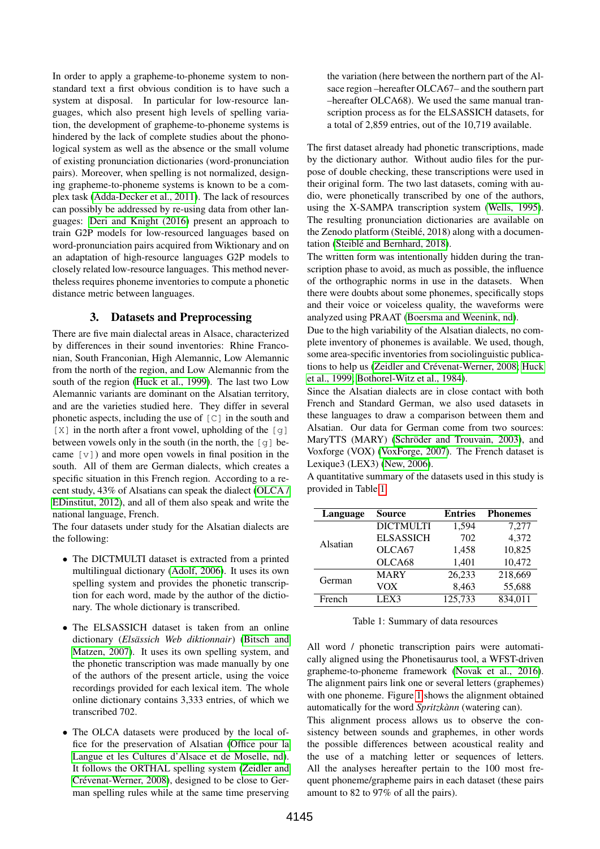In order to apply a grapheme-to-phoneme system to nonstandard text a first obvious condition is to have such a system at disposal. In particular for low-resource languages, which also present high levels of spelling variation, the development of grapheme-to-phoneme systems is hindered by the lack of complete studies about the phonological system as well as the absence or the small volume of existing pronunciation dictionaries (word-pronunciation pairs). Moreover, when spelling is not normalized, designing grapheme-to-phoneme systems is known to be a complex task [\(Adda-Decker et al., 2011\)](#page-4-2). The lack of resources can possibly be addressed by re-using data from other languages: [Deri and Knight \(2016\)](#page-4-3) present an approach to train G2P models for low-resourced languages based on word-pronunciation pairs acquired from Wiktionary and on an adaptation of high-resource languages G2P models to closely related low-resource languages. This method nevertheless requires phoneme inventories to compute a phonetic distance metric between languages.

## 3. Datasets and Preprocessing

<span id="page-1-1"></span>There are five main dialectal areas in Alsace, characterized by differences in their sound inventories: Rhine Franconian, South Franconian, High Alemannic, Low Alemannic from the north of the region, and Low Alemannic from the south of the region [\(Huck et al., 1999\)](#page-4-4). The last two Low Alemannic variants are dominant on the Alsatian territory, and are the varieties studied here. They differ in several phonetic aspects, including the use of  $\lceil C \rceil$  in the south and  $[X]$  in the north after a front vowel, upholding of the  $[q]$ between vowels only in the south (in the north, the [g] became  $[v]$ ) and more open vowels in final position in the south. All of them are German dialects, which creates a specific situation in this French region. According to a recent study, 43% of Alsatians can speak the dialect [\(OLCA /](#page-5-3) [EDinstitut, 2012\)](#page-5-3), and all of them also speak and write the national language, French.

The four datasets under study for the Alsatian dialects are the following:

- The DICTMULTI dataset is extracted from a printed multilingual dictionary [\(Adolf, 2006\)](#page-4-5). It uses its own spelling system and provides the phonetic transcription for each word, made by the author of the dictionary. The whole dictionary is transcribed.
- The ELSASSICH dataset is taken from an online dictionary (*Elsässich Web diktionnair*) [\(Bitsch and](#page-4-6) [Matzen, 2007\)](#page-4-6). It uses its own spelling system, and the phonetic transcription was made manually by one of the authors of the present article, using the voice recordings provided for each lexical item. The whole online dictionary contains 3,333 entries, of which we transcribed 702.
- The OLCA datasets were produced by the local office for the preservation of Alsatian [\(Office pour la](#page-5-4) [Langue et les Cultures d'Alsace et de Moselle, nd\)](#page-5-4). It follows the ORTHAL spelling system [\(Zeidler and](#page-5-5) [Crévenat-Werner, 2008\)](#page-5-5), designed to be close to German spelling rules while at the same time preserving

the variation (here between the northern part of the Alsace region –hereafter OLCA67– and the southern part –hereafter OLCA68). We used the same manual transcription process as for the ELSASSICH datasets, for a total of 2,859 entries, out of the 10,719 available.

The first dataset already had phonetic transcriptions, made by the dictionary author. Without audio files for the purpose of double checking, these transcriptions were used in their original form. The two last datasets, coming with audio, were phonetically transcribed by one of the authors, using the X-SAMPA transcription system [\(Wells, 1995\)](#page-5-6). The resulting pronunciation dictionaries are available on the Zenodo platform (Steiblé, 2018) along with a documentation [\(Steiblé and Bernhard, 2018\)](#page-5-7).

The written form was intentionally hidden during the transcription phase to avoid, as much as possible, the influence of the orthographic norms in use in the datasets. When there were doubts about some phonemes, specifically stops and their voice or voiceless quality, the waveforms were analyzed using PRAAT [\(Boersma and Weenink, nd\)](#page-4-7).

Due to the high variability of the Alsatian dialects, no complete inventory of phonemes is available. We used, though, some area-specific inventories from sociolinguistic publications to help us [\(Zeidler and Crévenat-Werner, 2008;](#page-5-5) [Huck](#page-4-4) [et al., 1999;](#page-4-4) [Bothorel-Witz et al., 1984\)](#page-4-8).

Since the Alsatian dialects are in close contact with both French and Standard German, we also used datasets in these languages to draw a comparison between them and Alsatian. Our data for German come from two sources: MaryTTS (MARY) [\(Schröder and Trouvain, 2003\)](#page-5-8), and Voxforge (VOX) [\(VoxForge, 2007\)](#page-5-9). The French dataset is Lexique3 (LEX3) [\(New, 2006\)](#page-5-10).

A quantitative summary of the datasets used in this study is provided in Table [1.](#page-1-0)

| Language | <b>Source</b>      | <b>Entries</b> | <b>Phonemes</b> |  |
|----------|--------------------|----------------|-----------------|--|
| Alsatian | <b>DICTMULTI</b>   | 1,594          | 7,277           |  |
|          | <b>ELSASSICH</b>   | 702            | 4,372           |  |
|          | OLCA <sub>67</sub> | 1,458          | 10,825          |  |
|          | OLCA <sub>68</sub> | 1,401          | 10,472          |  |
| German   | <b>MARY</b>        | 26,233         | 218,669         |  |
|          | <b>VOX</b>         | 8,463          | 55,688          |  |
| French   | LEX3               | 125,733        | 834,011         |  |

<span id="page-1-0"></span>Table 1: Summary of data resources

All word / phonetic transcription pairs were automatically aligned using the Phonetisaurus tool, a WFST-driven grapheme-to-phoneme framework [\(Novak et al., 2016\)](#page-5-11). The alignment pairs link one or several letters (graphemes) with one phoneme. Figure [1](#page-2-0) shows the alignment obtained automatically for the word *Spritzkànn* (watering can).

This alignment process allows us to observe the consistency between sounds and graphemes, in other words the possible differences between acoustical reality and the use of a matching letter or sequences of letters. All the analyses hereafter pertain to the 100 most frequent phoneme/grapheme pairs in each dataset (these pairs amount to 82 to 97% of all the pairs).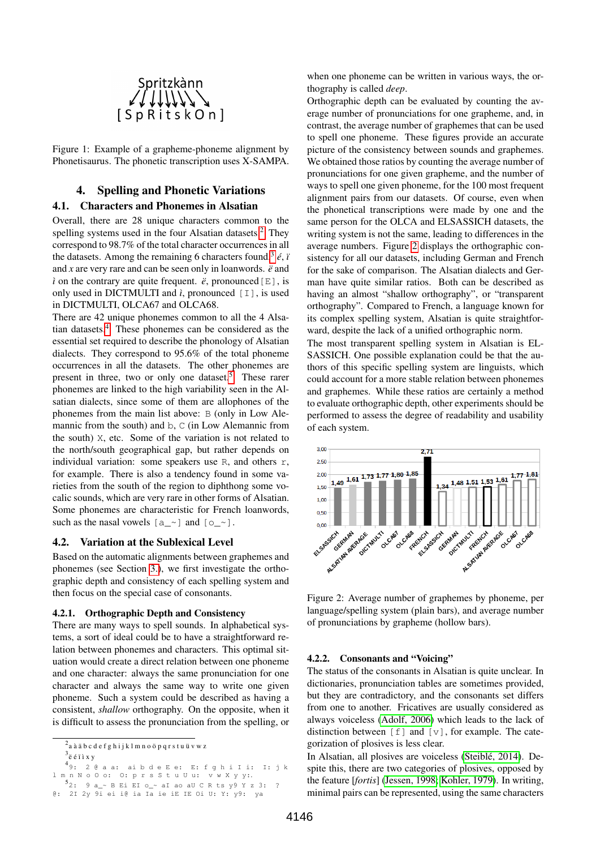

<span id="page-2-0"></span>Figure 1: Example of a grapheme-phoneme alignment by Phonetisaurus. The phonetic transcription uses X-SAMPA.

# 4. Spelling and Phonetic Variations

# 4.1. Characters and Phonemes in Alsatian

Overall, there are 28 unique characters common to the spelling systems used in the four Alsatian datasets.<sup>[2](#page-2-1)</sup> They correspond to 98.7% of the total character occurrences in all the datasets. Among the remaining 6 characters found,<sup>[3](#page-2-2)</sup>  $\acute{e}$ , *i* and *x* are very rare and can be seen only in loanwords. *ë* and *ì* on the contrary are quite frequent.  $\ddot{e}$ , pronounced [E], is only used in DICTMULTI and  $\hat{i}$ , pronounced  $\begin{bmatrix} 1 \end{bmatrix}$ , is used in DICTMULTI, OLCA67 and OLCA68.

There are 42 unique phonemes common to all the 4 Alsatian datasets.[4](#page-2-3) These phonemes can be considered as the essential set required to describe the phonology of Alsatian dialects. They correspond to 95.6% of the total phoneme occurrences in all the datasets. The other phonemes are present in three, two or only one dataset.<sup>[5](#page-2-4)</sup> These rarer phonemes are linked to the high variability seen in the Alsatian dialects, since some of them are allophones of the phonemes from the main list above: B (only in Low Alemannic from the south) and b, C (in Low Alemannic from the south) X, etc. Some of the variation is not related to the north/south geographical gap, but rather depends on individual variation: some speakers use R, and others r, for example. There is also a tendency found in some varieties from the south of the region to diphthong some vocalic sounds, which are very rare in other forms of Alsatian. Some phonemes are characteristic for French loanwords, such as the nasal vowels  $[a_2]$  and  $[0_2]$ .

#### 4.2. Variation at the Sublexical Level

Based on the automatic alignments between graphemes and phonemes (see Section [3.\)](#page-1-1), we first investigate the orthographic depth and consistency of each spelling system and then focus on the special case of consonants.

#### 4.2.1. Orthographic Depth and Consistency

There are many ways to spell sounds. In alphabetical systems, a sort of ideal could be to have a straightforward relation between phonemes and characters. This optimal situation would create a direct relation between one phoneme and one character: always the same pronunciation for one character and always the same way to write one given phoneme. Such a system could be described as having a consistent, *shallow* orthography. On the opposite, when it is difficult to assess the pronunciation from the spelling, or

<span id="page-2-1"></span> $^2$ a à ä  $\mathrm{b}\, \mathrm{c}\, \mathrm{d}\, \mathrm{e}\, \mathrm{f}\, \mathrm{g}\, \mathrm{h}\,$ i j k l m n o ö p q r s t u ü v w z

<span id="page-2-4"></span> $49:20a$  a a: ai b d e E e: E: f g h i I i: I: j k l m n N o O o: O: p r s S t u U u: v w X y y :.  $\frac{5}{2}$ : 9 a\_~ B Ei EI o\_~ aI ao aU C R ts y 9 Y z 3: ?<br>@: 2I 2y 9i ei i@ia Ia ie iE IE Oi U: Y: y 9: ya

when one phoneme can be written in various ways, the orthography is called *deep*.

Orthographic depth can be evaluated by counting the average number of pronunciations for one grapheme, and, in contrast, the average number of graphemes that can be used to spell one phoneme. These figures provide an accurate picture of the consistency between sounds and graphemes. We obtained those ratios by counting the average number of pronunciations for one given grapheme, and the number of ways to spell one given phoneme, for the 100 most frequent alignment pairs from our datasets. Of course, even when the phonetical transcriptions were made by one and the same person for the OLCA and ELSASSICH datasets, the writing system is not the same, leading to differences in the average numbers. Figure [2](#page-2-5) displays the orthographic consistency for all our datasets, including German and French for the sake of comparison. The Alsatian dialects and German have quite similar ratios. Both can be described as having an almost "shallow orthography", or "transparent orthography". Compared to French, a language known for its complex spelling system, Alsatian is quite straightforward, despite the lack of a unified orthographic norm.

The most transparent spelling system in Alsatian is EL-SASSICH. One possible explanation could be that the authors of this specific spelling system are linguists, which could account for a more stable relation between phonemes and graphemes. While these ratios are certainly a method to evaluate orthographic depth, other experiments should be performed to assess the degree of readability and usability of each system.



<span id="page-2-5"></span>Figure 2: Average number of graphemes by phoneme, per language/spelling system (plain bars), and average number of pronunciations by grapheme (hollow bars).

#### 4.2.2. Consonants and "Voicing"

The status of the consonants in Alsatian is quite unclear. In dictionaries, pronunciation tables are sometimes provided, but they are contradictory, and the consonants set differs from one to another. Fricatives are usually considered as always voiceless [\(Adolf, 2006\)](#page-4-5) which leads to the lack of distinction between  $[f]$  and  $[v]$ , for example. The categorization of plosives is less clear.

In Alsatian, all plosives are voiceless [\(Steiblé, 2014\)](#page-5-12). Despite this, there are two categories of plosives, opposed by the feature [*fortis*] [\(Jessen, 1998;](#page-5-13) [Kohler, 1979\)](#page-5-14). In writing, minimal pairs can be represented, using the same characters

<span id="page-2-3"></span><span id="page-2-2"></span> $3$ ë é ï ì x y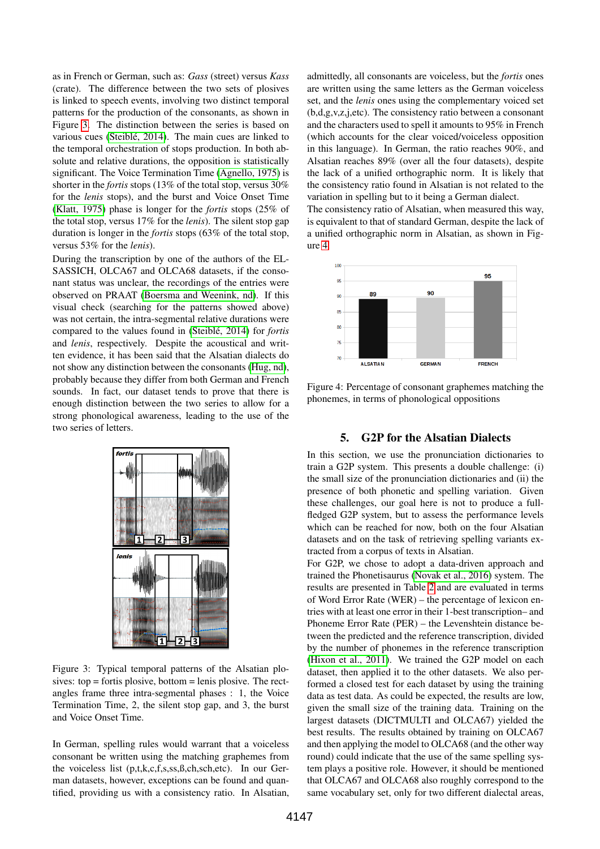as in French or German, such as: *Gass* (street) versus *Kass* (crate). The difference between the two sets of plosives is linked to speech events, involving two distinct temporal patterns for the production of the consonants, as shown in Figure [3.](#page-3-0) The distinction between the series is based on various cues [\(Steiblé, 2014\)](#page-5-12). The main cues are linked to the temporal orchestration of stops production. In both absolute and relative durations, the opposition is statistically significant. The Voice Termination Time [\(Agnello, 1975\)](#page-4-9) is shorter in the *fortis* stops (13% of the total stop, versus 30% for the *lenis* stops), and the burst and Voice Onset Time [\(Klatt, 1975\)](#page-5-15) phase is longer for the *fortis* stops (25% of the total stop, versus 17% for the *lenis*). The silent stop gap duration is longer in the *fortis* stops (63% of the total stop, versus 53% for the *lenis*).

During the transcription by one of the authors of the EL-SASSICH, OLCA67 and OLCA68 datasets, if the consonant status was unclear, the recordings of the entries were observed on PRAAT [\(Boersma and Weenink, nd\)](#page-4-7). If this visual check (searching for the patterns showed above) was not certain, the intra-segmental relative durations were compared to the values found in [\(Steiblé, 2014\)](#page-5-12) for *fortis* and *lenis*, respectively. Despite the acoustical and written evidence, it has been said that the Alsatian dialects do not show any distinction between the consonants [\(Hug, nd\)](#page-4-10), probably because they differ from both German and French sounds. In fact, our dataset tends to prove that there is enough distinction between the two series to allow for a strong phonological awareness, leading to the use of the two series of letters.



<span id="page-3-0"></span>Figure 3: Typical temporal patterns of the Alsatian plosives:  $top =$  fortis plosive, bottom  $=$  lenis plosive. The rectangles frame three intra-segmental phases : 1, the Voice Termination Time, 2, the silent stop gap, and 3, the burst and Voice Onset Time.

In German, spelling rules would warrant that a voiceless consonant be written using the matching graphemes from the voiceless list (p,t,k,c,f,s,ss,ß,ch,sch,etc). In our German datasets, however, exceptions can be found and quantified, providing us with a consistency ratio. In Alsatian,

admittedly, all consonants are voiceless, but the *fortis* ones are written using the same letters as the German voiceless set, and the *lenis* ones using the complementary voiced set (b,d,g,v,z,j,etc). The consistency ratio between a consonant and the characters used to spell it amounts to 95% in French (which accounts for the clear voiced/voiceless opposition in this language). In German, the ratio reaches 90%, and Alsatian reaches 89% (over all the four datasets), despite the lack of a unified orthographic norm. It is likely that the consistency ratio found in Alsatian is not related to the variation in spelling but to it being a German dialect.

The consistency ratio of Alsatian, when measured this way, is equivalent to that of standard German, despite the lack of a unified orthographic norm in Alsatian, as shown in Figure [4.](#page-3-1)



<span id="page-3-1"></span>Figure 4: Percentage of consonant graphemes matching the phonemes, in terms of phonological oppositions

## 5. G2P for the Alsatian Dialects

<span id="page-3-2"></span>In this section, we use the pronunciation dictionaries to train a G2P system. This presents a double challenge: (i) the small size of the pronunciation dictionaries and (ii) the presence of both phonetic and spelling variation. Given these challenges, our goal here is not to produce a fullfledged G2P system, but to assess the performance levels which can be reached for now, both on the four Alsatian datasets and on the task of retrieving spelling variants extracted from a corpus of texts in Alsatian.

For G2P, we chose to adopt a data-driven approach and trained the Phonetisaurus [\(Novak et al., 2016\)](#page-5-11) system. The results are presented in Table [2](#page-4-11) and are evaluated in terms of Word Error Rate (WER) – the percentage of lexicon entries with at least one error in their 1-best transcription– and Phoneme Error Rate (PER) – the Levenshtein distance between the predicted and the reference transcription, divided by the number of phonemes in the reference transcription [\(Hixon et al., 2011\)](#page-4-12). We trained the G2P model on each dataset, then applied it to the other datasets. We also performed a closed test for each dataset by using the training data as test data. As could be expected, the results are low, given the small size of the training data. Training on the largest datasets (DICTMULTI and OLCA67) yielded the best results. The results obtained by training on OLCA67 and then applying the model to OLCA68 (and the other way round) could indicate that the use of the same spelling system plays a positive role. However, it should be mentioned that OLCA67 and OLCA68 also roughly correspond to the same vocabulary set, only for two different dialectal areas,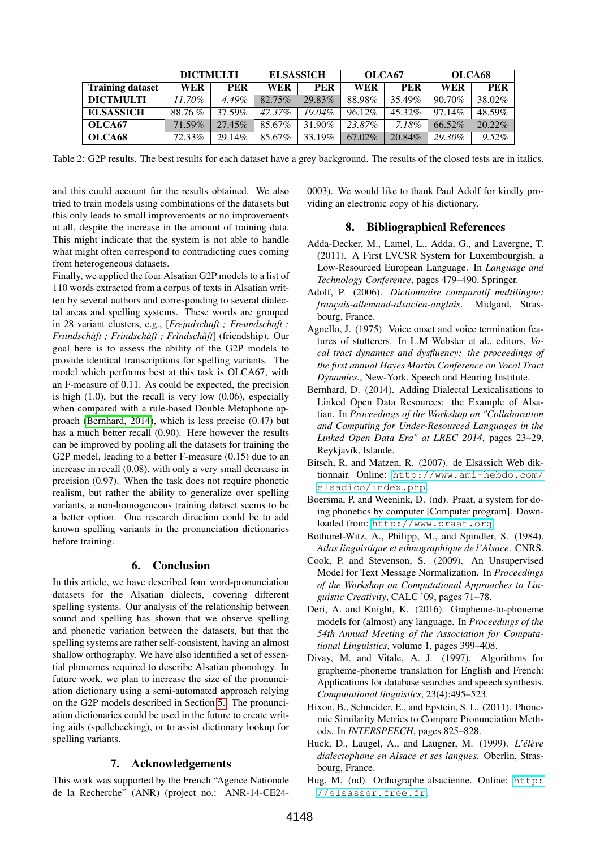|                         | <b>DICTMULTI</b> |           | <b>ELSASSICH</b> |           | OLCA67 |            | OLCA68     |            |
|-------------------------|------------------|-----------|------------------|-----------|--------|------------|------------|------------|
| <b>Training dataset</b> | <b>WER</b>       | PER       | WER              | PER       | WER    | <b>PER</b> | <b>WER</b> | <b>PER</b> |
| <b>DICTMULTI</b>        | $11.70\%$        | $4.49\%$  | $82.75\%$        | 29.83%    | 88.98% | 35.49%     | $90.70\%$  | 38.02%     |
| <b>ELSASSICH</b>        | 88.76 %          | 37.59%    | 47.37%           | $19.04\%$ | 96.12% | 45.32%     | 97.14%     | 48.59%     |
| OLCA67                  | 71.59%           | $27.45\%$ | 85.67%           | 31.90%    | 23.87% | 7.18%      | 66.52%     | $20.22\%$  |
| OLCA <sub>68</sub>      | 72.33%           | 29.14%    | 85.67%           | 33.19%    | 67.02% | 20.84%     | 29.30%     | $9.52\%$   |

<span id="page-4-11"></span>Table 2: G2P results. The best results for each dataset have a grey background. The results of the closed tests are in italics.

and this could account for the results obtained. We also tried to train models using combinations of the datasets but this only leads to small improvements or no improvements at all, despite the increase in the amount of training data. This might indicate that the system is not able to handle what might often correspond to contradicting cues coming from heterogeneous datasets.

Finally, we applied the four Alsatian G2P models to a list of 110 words extracted from a corpus of texts in Alsatian written by several authors and corresponding to several dialectal areas and spelling systems. These words are grouped in 28 variant clusters, e.g., [*Frejndschaft ; Freundschaft ; Friindschàft ; Frindschàft ; Frìndschàft*] (friendship). Our goal here is to assess the ability of the G2P models to provide identical transcriptions for spelling variants. The model which performs best at this task is OLCA67, with an F-measure of 0.11. As could be expected, the precision is high (1.0), but the recall is very low (0.06), especially when compared with a rule-based Double Metaphone approach [\(Bernhard, 2014\)](#page-4-13), which is less precise (0.47) but has a much better recall (0.90). Here however the results can be improved by pooling all the datasets for training the G2P model, leading to a better F-measure (0.15) due to an increase in recall (0.08), with only a very small decrease in precision (0.97). When the task does not require phonetic realism, but rather the ability to generalize over spelling variants, a non-homogeneous training dataset seems to be a better option. One research direction could be to add known spelling variants in the pronunciation dictionaries before training.

### 6. Conclusion

In this article, we have described four word-pronunciation datasets for the Alsatian dialects, covering different spelling systems. Our analysis of the relationship between sound and spelling has shown that we observe spelling and phonetic variation between the datasets, but that the spelling systems are rather self-consistent, having an almost shallow orthography. We have also identified a set of essential phonemes required to describe Alsatian phonology. In future work, we plan to increase the size of the pronunciation dictionary using a semi-automated approach relying on the G2P models described in Section [5..](#page-3-2) The pronunciation dictionaries could be used in the future to create writing aids (spellchecking), or to assist dictionary lookup for spelling variants.

## 7. Acknowledgements

This work was supported by the French "Agence Nationale de la Recherche" (ANR) (project no.: ANR-14-CE240003). We would like to thank Paul Adolf for kindly providing an electronic copy of his dictionary.

#### 8. Bibliographical References

- <span id="page-4-2"></span>Adda-Decker, M., Lamel, L., Adda, G., and Lavergne, T. (2011). A First LVCSR System for Luxembourgish, a Low-Resourced European Language. In *Language and Technology Conference*, pages 479–490. Springer.
- <span id="page-4-5"></span>Adolf, P. (2006). *Dictionnaire comparatif multilingue: français-allemand-alsacien-anglais*. Midgard, Strasbourg, France.
- <span id="page-4-9"></span>Agnello, J. (1975). Voice onset and voice termination features of stutterers. In L.M Webster et al., editors, *Vocal tract dynamics and dysfluency: the proceedings of the first annual Hayes Martin Conference on Vocal Tract Dynamics.*, New-York. Speech and Hearing Institute.
- <span id="page-4-13"></span>Bernhard, D. (2014). Adding Dialectal Lexicalisations to Linked Open Data Resources: the Example of Alsatian. In *Proceedings of the Workshop on "Collaboration and Computing for Under-Resourced Languages in the Linked Open Data Era" at LREC 2014*, pages 23–29, Reykjavík, Islande.
- <span id="page-4-6"></span>Bitsch, R. and Matzen, R. (2007). de Elsässich Web diktionnair. Online: [http://www.ami-hebdo.com/](http://www.ami-hebdo.com/elsadico/index.php) [elsadico/index.php](http://www.ami-hebdo.com/elsadico/index.php).
- <span id="page-4-7"></span>Boersma, P. and Weenink, D. (nd). Praat, a system for doing phonetics by computer [Computer program]. Downloaded from: <http://www.praat.org>.
- <span id="page-4-8"></span>Bothorel-Witz, A., Philipp, M., and Spindler, S. (1984). *Atlas linguistique et ethnographique de l'Alsace*. CNRS.
- <span id="page-4-1"></span>Cook, P. and Stevenson, S. (2009). An Unsupervised Model for Text Message Normalization. In *Proceedings of the Workshop on Computational Approaches to Linguistic Creativity*, CALC '09, pages 71–78.
- <span id="page-4-3"></span>Deri, A. and Knight, K. (2016). Grapheme-to-phoneme models for (almost) any language. In *Proceedings of the 54th Annual Meeting of the Association for Computational Linguistics*, volume 1, pages 399–408.
- <span id="page-4-0"></span>Divay, M. and Vitale, A. J. (1997). Algorithms for grapheme-phoneme translation for English and French: Applications for database searches and speech synthesis. *Computational linguistics*, 23(4):495–523.
- <span id="page-4-12"></span>Hixon, B., Schneider, E., and Epstein, S. L. (2011). Phonemic Similarity Metrics to Compare Pronunciation Methods. In *INTERSPEECH*, pages 825–828.
- <span id="page-4-4"></span>Huck, D., Laugel, A., and Laugner, M. (1999). *L'élève dialectophone en Alsace et ses langues*. Oberlin, Strasbourg, France.
- <span id="page-4-10"></span>Hug, M. (nd). Orthographe alsacienne. Online: [http:](http://elsasser.free.fr) [//elsasser.free.fr](http://elsasser.free.fr).